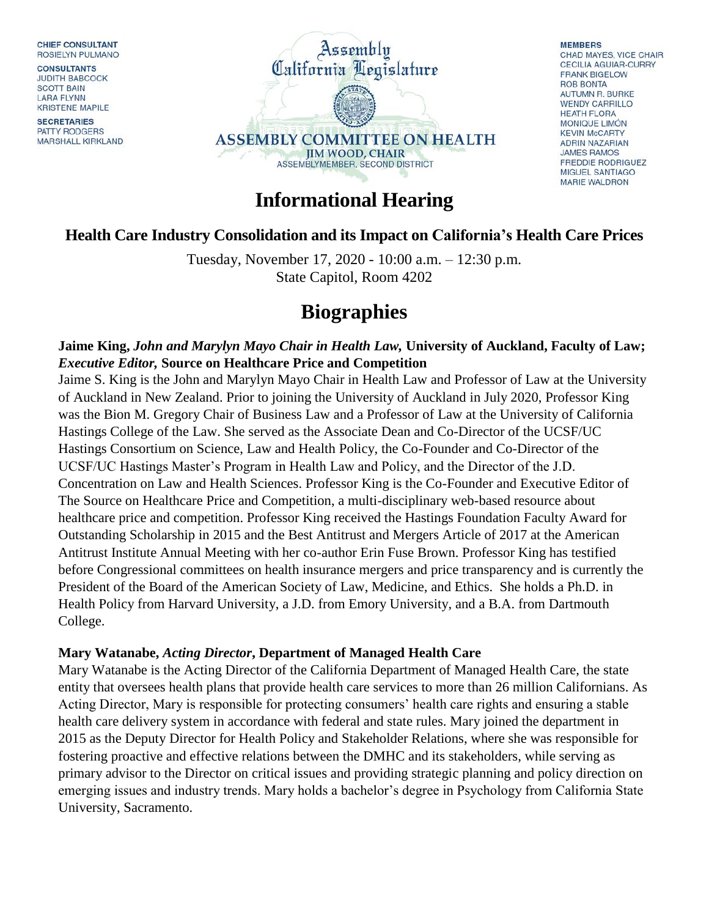CHIEF CONSULTANT ROSIELYN PULMANO

**CONSULTANTS JUDITH BABCOCK SCOTT BAIN LARA FLYNN KRISTENE MAPILE** 

**SECRETARIES** PATTY RODGERS MARSHALL KIRKLAND



**MEMBERS** CHAD MAYES, VICE CHAIR **CECILIA AGUIAR-CURRY FRANK BIGELOW ROB BONTA** AUTUMN R. BURKE **WENDY CARRILLO HEATH FLORA** MONIQUE LIMÓN **KFVIN McCARTY ADRIN NAZARIAN JAMES RAMOS FREDDIE RODRIGUEZ** MIGUEL SANTIAGO **MARIE WALDRON** 

## **Informational Hearing**

### **Health Care Industry Consolidation and its Impact on California's Health Care Prices**

Tuesday, November 17, 2020 - 10:00 a.m. – 12:30 p.m. State Capitol, Room 4202

# **Biographies**

### **Jaime King,** *John and Marylyn Mayo Chair in Health Law,* **University of Auckland, Faculty of Law;**  *Executive Editor,* **Source on Healthcare Price and Competition**

Jaime S. King is the John and Marylyn Mayo Chair in Health Law and Professor of Law at the University of Auckland in New Zealand. Prior to joining the University of Auckland in July 2020, Professor King was the Bion M. Gregory Chair of Business Law and a Professor of Law at the University of California Hastings College of the Law. She served as the Associate Dean and Co-Director of the UCSF/UC Hastings Consortium on Science, Law and Health Policy, the Co-Founder and Co-Director of the UCSF/UC Hastings Master's Program in Health Law and Policy, and the Director of the J.D. Concentration on Law and Health Sciences. Professor King is the Co-Founder and Executive Editor of The Source on Healthcare Price and Competition, a multi-disciplinary web-based resource about healthcare price and competition. Professor King received the Hastings Foundation Faculty Award for Outstanding Scholarship in 2015 and the Best Antitrust and Mergers Article of 2017 at the American Antitrust Institute Annual Meeting with her co-author Erin Fuse Brown. Professor King has testified before Congressional committees on health insurance mergers and price transparency and is currently the President of the Board of the American Society of Law, Medicine, and Ethics. She holds a Ph.D. in Health Policy from Harvard University, a J.D. from Emory University, and a B.A. from Dartmouth College.

#### **Mary Watanabe,** *Acting Director***, Department of Managed Health Care**

Mary Watanabe is the Acting Director of the California Department of Managed Health Care, the state entity that oversees health plans that provide health care services to more than 26 million Californians. As Acting Director, Mary is responsible for protecting consumers' health care rights and ensuring a stable health care delivery system in accordance with federal and state rules. Mary joined the department in 2015 as the Deputy Director for Health Policy and Stakeholder Relations, where she was responsible for fostering proactive and effective relations between the DMHC and its stakeholders, while serving as primary advisor to the Director on critical issues and providing strategic planning and policy direction on emerging issues and industry trends. Mary holds a bachelor's degree in Psychology from California State University, Sacramento.